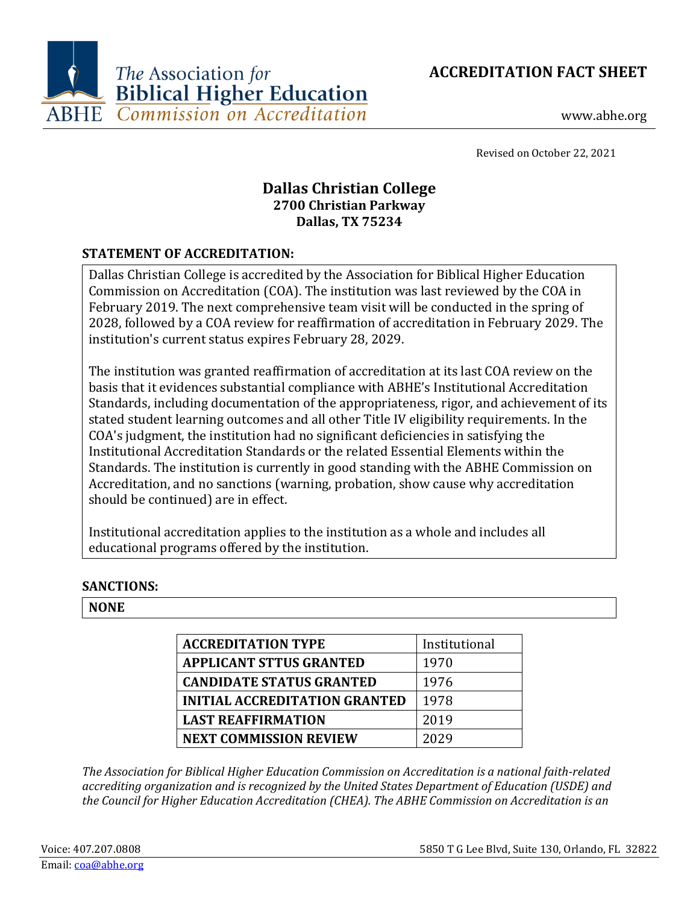**ACCREDITATION FACT SHEET**



www.abhe.org

Revised on October 22, 2021

# **Dallas Christian College 2700 Christian Parkway Dallas, TX 75234**

## **STATEMENT OF ACCREDITATION:**

Dallas Christian College is accredited by the Association for Biblical Higher Education Commission on Accreditation (COA). The institution was last reviewed by the COA in February 2019. The next comprehensive team visit will be conducted in the spring of 2028, followed by a COA review for reaffirmation of accreditation in February 2029. The institution's current status expires February 28, 2029.

The institution was granted reaffirmation of accreditation at its last COA review on the basis that it evidences substantial compliance with ABHE's Institutional Accreditation Standards, including documentation of the appropriateness, rigor, and achievement of its stated student learning outcomes and all other Title IV eligibility requirements. In the COA's judgment, the institution had no significant deficiencies in satisfying the Institutional Accreditation Standards or the related Essential Elements within the Standards. The institution is currently in good standing with the ABHE Commission on Accreditation, and no sanctions (warning, probation, show cause why accreditation should be continued) are in effect.

Institutional accreditation applies to the institution as a whole and includes all educational programs offered by the institution.

## **SANCTIONS:**

### **NONE**

| <b>ACCREDITATION TYPE</b>            | Institutional |
|--------------------------------------|---------------|
| <b>APPLICANT STTUS GRANTED</b>       | 1970          |
| <b>CANDIDATE STATUS GRANTED</b>      | 1976          |
| <b>INITIAL ACCREDITATION GRANTED</b> | 1978          |
| <b>LAST REAFFIRMATION</b>            | 2019          |
| <b>NEXT COMMISSION REVIEW</b>        | 2029          |

*The Association for Biblical Higher Education Commission on Accreditation is a national faith-related accrediting organization and is recognized by the United States Department of Education (USDE) and the Council for Higher Education Accreditation (CHEA). The ABHE Commission on Accreditation is an*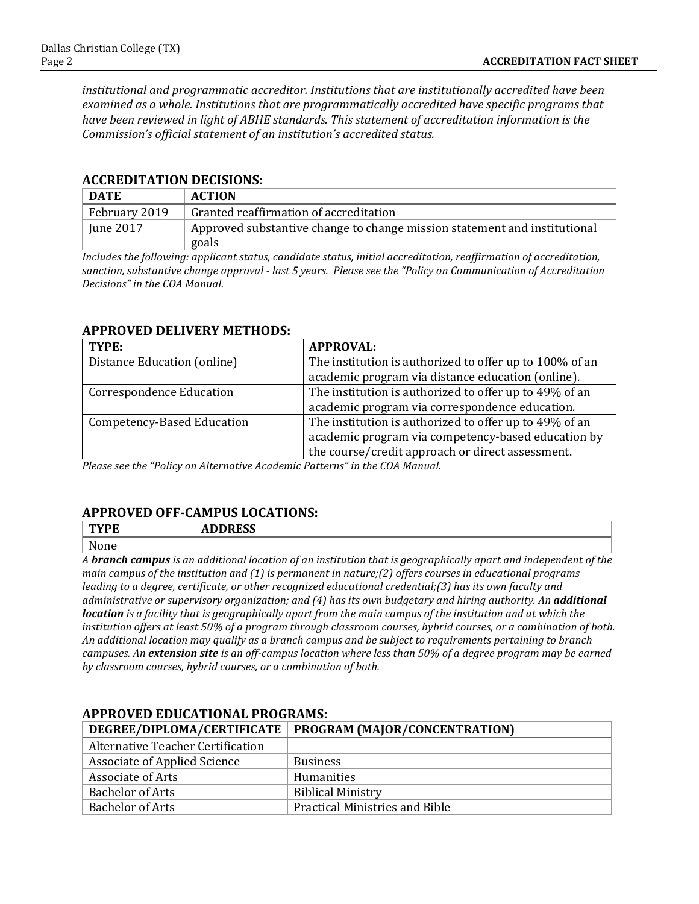*institutional and programmatic accreditor. Institutions that are institutionally accredited have been examined as a whole. Institutions that are programmatically accredited have specific programs that have been reviewed in light of ABHE standards. This statement of accreditation information is the Commission's official statement of an institution's accredited status.*

#### **ACCREDITATION DECISIONS:**

| <b>DATE</b>             | <b>ACTION</b>                                                                      |
|-------------------------|------------------------------------------------------------------------------------|
| February 2019           | Granted reaffirmation of accreditation                                             |
| $\frac{1}{2}$ June 2017 | Approved substantive change to change mission statement and institutional<br>goals |

*Includes the following: applicant status, candidate status, initial accreditation, reaffirmation of accreditation, sanction, substantive change approval - last 5 years. Please see the "Policy on Communication of Accreditation Decisions" in the COA Manual.*

| лі і котер рештекі метіцрэл     |                                                         |
|---------------------------------|---------------------------------------------------------|
| TYPE:                           | <b>APPROVAL:</b>                                        |
| Distance Education (online)     | The institution is authorized to offer up to 100% of an |
|                                 | academic program via distance education (online).       |
| <b>Correspondence Education</b> | The institution is authorized to offer up to 49% of an  |
|                                 | academic program via correspondence education.          |
| Competency-Based Education      | The institution is authorized to offer up to 49% of an  |
|                                 | academic program via competency-based education by      |
|                                 | the course/credit approach or direct assessment.        |

#### **APPROVED DELIVERY METHODS:**

*Please see the "Policy on Alternative Academic Patterns" in the COA Manual.*

### **APPROVED OFF-CAMPUS LOCATIONS:**

| $-$<br>- 14 | <b>DDDCC</b><br>$\overline{\phantom{a}}$<br><b>ADDINGO</b> |
|-------------|------------------------------------------------------------|
| <b>NT</b>   |                                                            |

*A branch campus is an additional location of an institution that is geographically apart and independent of the main campus of the institution and (1) is permanent in nature;(2) offers courses in educational programs leading to a degree, certificate, or other recognized educational credential;(3) has its own faculty and administrative or supervisory organization; and (4) has its own budgetary and hiring authority. An additional location is a facility that is geographically apart from the main campus of the institution and at which the institution offers at least 50% of a program through classroom courses, hybrid courses, or a combination of both. An additional location may qualify as a branch campus and be subject to requirements pertaining to branch campuses. An extension site is an off-campus location where less than 50% of a degree program may be earned by classroom courses, hybrid courses, or a combination of both.*

#### **APPROVED EDUCATIONAL PROGRAMS: DEGREE/DIPLOMA/CERTIFICATE PROGRAM (MAJOR/CONCENTRATION)**

|                                   | .                                     |
|-----------------------------------|---------------------------------------|
| Alternative Teacher Certification |                                       |
| Associate of Applied Science      | <b>Business</b>                       |
| Associate of Arts                 | Humanities                            |
| Bachelor of Arts                  | <b>Biblical Ministry</b>              |
| Bachelor of Arts                  | <b>Practical Ministries and Bible</b> |